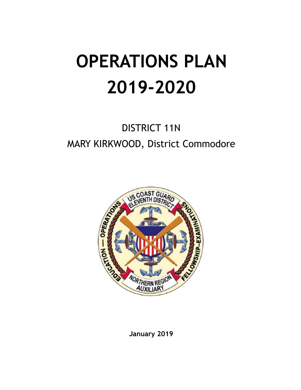# **OPERATIONS PLAN 2019-2020**

# DISTRICT 11N MARY KIRKWOOD, District Commodore



**January 2019**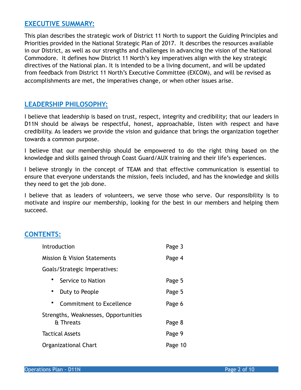# **EXECUTIVE SUMMARY:**

This plan describes the strategic work of District 11 North to support the Guiding Principles and Priorities provided in the National Strategic Plan of 2017. It describes the resources available in our District, as well as our strengths and challenges in advancing the vision of the National Commodore. It defines how District 11 North's key imperatives align with the key strategic directives of the National plan. It is intended to be a living document, and will be updated from feedback from District 11 North's Executive Committee (EXCOM), and will be revised as accomplishments are met, the imperatives change, or when other issues arise.

# **LEADERSHIP PHILOSOPHY:**

I believe that leadership is based on trust, respect, integrity and credibility; that our leaders in D11N should be always be respectful, honest, approachable, listen with respect and have credibility. As leaders we provide the vision and guidance that brings the organization together towards a common purpose.

I believe that our membership should be empowered to do the right thing based on the knowledge and skills gained through Coast Guard/AUX training and their life's experiences.

I believe strongly in the concept of TEAM and that effective communication is essential to ensure that everyone understands the mission, feels included, and has the knowledge and skills they need to get the job done.

I believe that as leaders of volunteers, we serve those who serve. Our responsibility is to motivate and inspire our membership, looking for the best in our members and helping them succeed.

# **CONTENTS:**

| Introduction                         | Page 3  |  |  |  |  |  |  |
|--------------------------------------|---------|--|--|--|--|--|--|
| Mission & Vision Statements          | Page 4  |  |  |  |  |  |  |
| Goals/Strategic Imperatives:         |         |  |  |  |  |  |  |
| Service to Nation                    | Page 5  |  |  |  |  |  |  |
| Duty to People                       | Page 5  |  |  |  |  |  |  |
| Commitment to Excellence             | Page 6  |  |  |  |  |  |  |
| Strengths, Weaknesses, Opportunities |         |  |  |  |  |  |  |
| & Threats                            | Page 8  |  |  |  |  |  |  |
| Tactical Assets                      | Page 9  |  |  |  |  |  |  |
| Organizational Chart                 | Page 10 |  |  |  |  |  |  |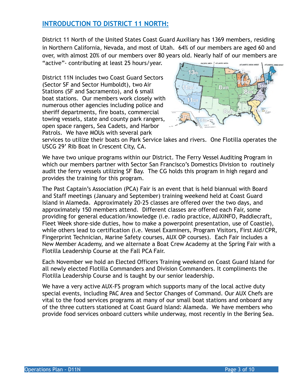# **INTRODUCTION TO DISTRICT 11 NORTH:**

District 11 North of the United States Coast Guard Auxiliary has 1369 members, residing in Northern California, Nevada, and most of Utah. 64% of our members are aged 60 and over, with almost 20% of our members over 80 years old. Nearly half of our members are "active"- contributing at least 25 hours/year. PACIFIC AREA , ATLANTIC AREA

District 11N includes two Coast Guard Sectors (Sector SF and Sector Humboldt), two Air Stations (SF and Sacramento), and 6 small boat stations. Our members work closely with numerous other agencies including police and sheriff departments, fire boats, commercial towing vessels, state and county park rangers, open space rangers, Sea Cadets, and Harbor Patrols. We have MOUs with several park



services to utilize their boats on Park Service lakes and rivers. One Flotilla operates the USCG 29' Rib Boat in Crescent City, CA.

We have two unique programs within our District. The Ferry Vessel Auditing Program in which our members partner with Sector San Francisco's Domestics Division to routinely audit the ferry vessels utilizing SF Bay. The CG holds this program in high regard and provides the training for this program.

The Past Captain's Association (PCA) Fair is an event that is held biannual with Board and Staff meetings (January and September) training weekend held at Coast Guard Island in Alameda. Approximately 20-25 classes are offered over the two days, and approximately 150 members attend. Different classes are offered each Fair, some providing for general education/knowledge (i.e. radio practice, AUXINFO, Paddlecraft, Fleet Week shore-side duties, how to make a powerpoint presentation, use of Coastie), while others lead to certification (i.e. Vessel Examiners, Program Visitors, First Aid/CPR, Fingerprint Technician, Marine Safety courses, AUX OP courses). Each Fair includes a New Member Academy, and we alternate a Boat Crew Academy at the Spring Fair with a Flotilla Leadership Course at the Fall PCA Fair.

Each November we hold an Elected Officers Training weekend on Coast Guard Island for all newly elected Flotilla Commanders and Division Commanders. It compliments the Flotilla Leadership Course and is taught by our senior leadership.

We have a very active AUX-FS program which supports many of the local active duty special events, including PAC Area and Sector Changes of Command. Our AUX Chefs are vital to the food services programs at many of our small boat stations and onboard any of the three cutters stationed at Coast Guard Island: Alameda. We have members who provide food services onboard cutters while underway, most recently in the Bering Sea.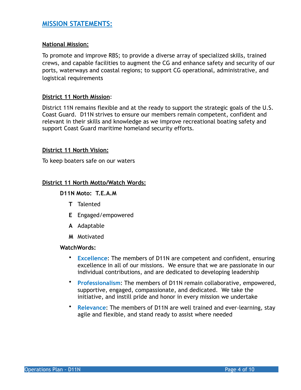# **MISSION STATEMENTS:**

### **National Mission:**

To promote and improve RBS; to provide a diverse array of specialized skills, trained crews, and capable facilities to augment the CG and enhance safety and security of our ports, waterways and coastal regions; to support CG operational, administrative, and logistical requirements

### **District 11 North Mission**:

District 11N remains flexible and at the ready to support the strategic goals of the U.S. Coast Guard. D11N strives to ensure our members remain competent, confident and relevant in their skills and knowledge as we improve recreational boating safety and support Coast Guard maritime homeland security efforts.

### **District 11 North Vision:**

To keep boaters safe on our waters

### **District 11 North Motto/Watch Words:**

### **D11N Moto: T.E.A.M**

- **T** Talented
- **E** Engaged/empowered
- **A** Adaptable
- **M** Motivated

#### **WatchWords:**

- **Excellence**: The members of D11N are competent and confident, ensuring excellence in all of our missions. We ensure that we are passionate in our individual contributions, and are dedicated to developing leadership
- **Professionalism**: The members of D11N remain collaborative, empowered, supportive, engaged, compassionate, and dedicated. We take the initiative, and instill pride and honor in every mission we undertake
- **Relevance**: The members of D11N are well trained and ever-learning, stay agile and flexible, and stand ready to assist where needed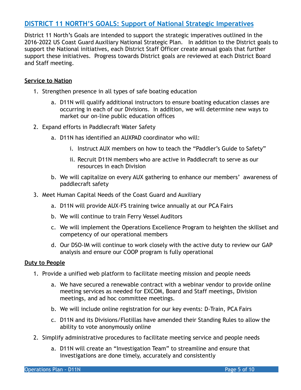# **DISTRICT 11 NORTH'S GOALS: Support of National Strategic Imperatives**

District 11 North's Goals are intended to support the strategic imperatives outlined in the 2016-2022 US Coast Guard Auxiliary National Strategic Plan. In addition to the District goals to support the National initiatives, each District Staff Officer create annual goals that further support these initiatives. Progress towards District goals are reviewed at each District Board and Staff meeting.

# **Service to Nation**

- 1. Strengthen presence in all types of safe boating education
	- a. D11N will qualify additional instructors to ensure boating education classes are occurring in each of our Divisions. In addition, we will determine new ways to market our on-line public education offices
- 2. Expand efforts in Paddlecraft Water Safety
	- a. D11N has identified an AUXPAD coordinator who will:
		- i. Instruct AUX members on how to teach the "Paddler's Guide to Safety"
		- ii. Recruit D11N members who are active in Paddlecraft to serve as our resources in each Division
	- b. We will capitalize on every AUX gathering to enhance our members' awareness of paddlecraft safety
- 3. Meet Human Capital Needs of the Coast Guard and Auxiliary
	- a. D11N will provide AUX-FS training twice annually at our PCA Fairs
	- b. We will continue to train Ferry Vessel Auditors
	- c. We will implement the Operations Excellence Program to heighten the skillset and competency of our operational members
	- d. Our DSO-IM will continue to work closely with the active duty to review our GAP analysis and ensure our COOP program is fully operational

#### **Duty to People**

- 1. Provide a unified web platform to facilitate meeting mission and people needs
	- a. We have secured a renewable contract with a webinar vendor to provide online meeting services as needed for EXCOM, Board and Staff meetings, Division meetings, and ad hoc committee meetings.
	- b. We will include online registration for our key events: D-Train, PCA Fairs
	- c. D11N and its Divisions/Flotillas have amended their Standing Rules to allow the ability to vote anonymously online
- 2. Simplify administrative procedures to facilitate meeting service and people needs
	- a. D11N will create an "Investigation Team" to streamline and ensure that investigations are done timely, accurately and consistently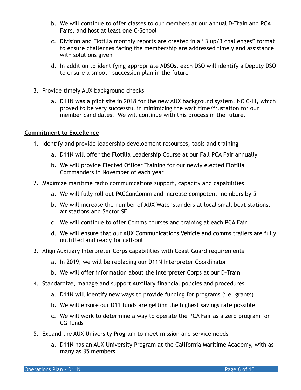- b. We will continue to offer classes to our members at our annual D-Train and PCA Fairs, and host at least one C-School
- c. Division and Flotilla monthly reports are created in a "3 up/3 challenges" format to ensure challenges facing the membership are addressed timely and assistance with solutions given
- d. In addition to identifying appropriate ADSOs, each DSO will identify a Deputy DSO to ensure a smooth succession plan in the future
- 3. Provide timely AUX background checks
	- a. D11N was a pilot site in 2018 for the new AUX background system, NCIC-III, which proved to be very successful in minimizing the wait time/frustation for our member candidates. We will continue with this process in the future.

# **Commitment to Excellence**

- 1. Identify and provide leadership development resources, tools and training
	- a. D11N will offer the Flotilla Leadership Course at our Fall PCA Fair annually
	- b. We will provide Elected Officer Training for our newly elected Flotilla Commanders in November of each year
- 2. Maximize maritime radio communications support, capacity and capabilities
	- a. We will fully roll out PACConComm and increase competent members by 5
	- b. We will increase the number of AUX Watchstanders at local small boat stations, air stations and Sector SF
	- c. We will continue to offer Comms courses and training at each PCA Fair
	- d. We will ensure that our AUX Communications Vehicle and comms trailers are fully outfitted and ready for call-out
- 3. Align Auxiliary Interpreter Corps capabilities with Coast Guard requirements
	- a. In 2019, we will be replacing our D11N Interpreter Coordinator
	- b. We will offer information about the Interpreter Corps at our D-Train
- 4. Standardize, manage and support Auxiliary financial policies and procedures
	- a. D11N will identify new ways to provide funding for programs (i.e. grants)
	- b. We will ensure our D11 funds are getting the highest savings rate possible
	- c. We will work to determine a way to operate the PCA Fair as a zero program for CG funds
- 5. Expand the AUX University Program to meet mission and service needs
	- a. D11N has an AUX University Program at the California Maritime Academy, with as many as 35 members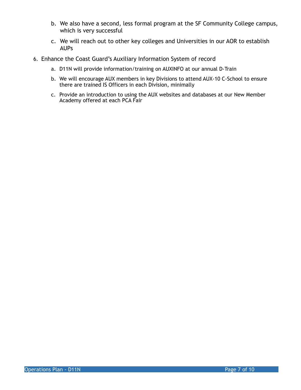- b. We also have a second, less formal program at the SF Community College campus, which is very successful
- c. We will reach out to other key colleges and Universities in our AOR to establish AUPs
- 6. Enhance the Coast Guard's Auxiliary Information System of record
	- a. D11N will provide information/training on AUXINFO at our annual D-Train
	- b. We will encourage AUX members in key Divisions to attend AUX-10 C-School to ensure there are trained IS Officers in each Division, minimally
	- c. Provide an introduction to using the AUX websites and databases at our New Member Academy offered at each PCA Fair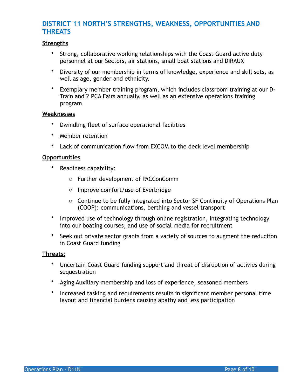# **DISTRICT 11 NORTH'S STRENGTHS, WEAKNESS, OPPORTUNITIES AND THREATS**

# **Strengths**

- Strong, collaborative working relationships with the Coast Guard active duty personnel at our Sectors, air stations, small boat stations and DIRAUX
- Diversity of our membership in terms of knowledge, experience and skill sets, as well as age, gender and ethnicity.
- Exemplary member training program, which includes classroom training at our D-Train and 2 PCA Fairs annually, as well as an extensive operations training program

#### **Weaknesses**

- Dwindling fleet of surface operational facilities
- Member retention
- Lack of communication flow from EXCOM to the deck level membership

### **Opportunities**

- Readiness capability:
	- o Further development of PACConComm
	- o Improve comfort/use of Everbridge
	- o Continue to be fully integrated into Sector SF Continuity of Operations Plan (COOP): communications, berthing and vessel transport
- Improved use of technology through online registration, integrating technology into our boating courses, and use of social media for recruitment
- Seek out private sector grants from a variety of sources to augment the reduction in Coast Guard funding

#### **Threats:**

- Uncertain Coast Guard funding support and threat of disruption of activies during sequestration
- Aging Auxiliary membership and loss of experience, seasoned members
- Increased tasking and requirements results in significant member personal time layout and financial burdens causing apathy and less participation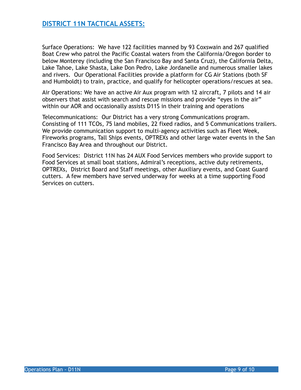# **DISTRICT 11N TACTICAL ASSETS:**

Surface Operations: We have 122 facilities manned by 93 Coxswain and 267 qualified Boat Crew who patrol the Pacific Coastal waters from the California/Oregon border to below Monterey (including the San Francisco Bay and Santa Cruz), the California Delta, Lake Tahoe, Lake Shasta, Lake Don Pedro, Lake Jordanelle and numerous smaller lakes and rivers. Our Operational Facilities provide a platform for CG Air Stations (both SF and Humboldt) to train, practice, and qualify for helicopter operations/rescues at sea.

Air Operations: We have an active Air Aux program with 12 aircraft, 7 pilots and 14 air observers that assist with search and rescue missions and provide "eyes in the air" within our AOR and occasionally assists D11S in their training and operations

Telecommunications: Our District has a very strong Communications program. Consisting of 111 TCOs, 75 land mobiles, 22 fixed radios, and 5 Communications trailers. We provide communication support to multi-agency activities such as Fleet Week, Fireworks programs, Tall Ships events, OPTREXs and other large water events in the San Francisco Bay Area and throughout our District.

Food Services: District 11N has 24 AUX Food Services members who provide support to Food Services at small boat stations, Admiral's receptions, active duty retirements, OPTREXs, District Board and Staff meetings, other Auxiliary events, and Coast Guard cutters. A few members have served underway for weeks at a time supporting Food Services on cutters.